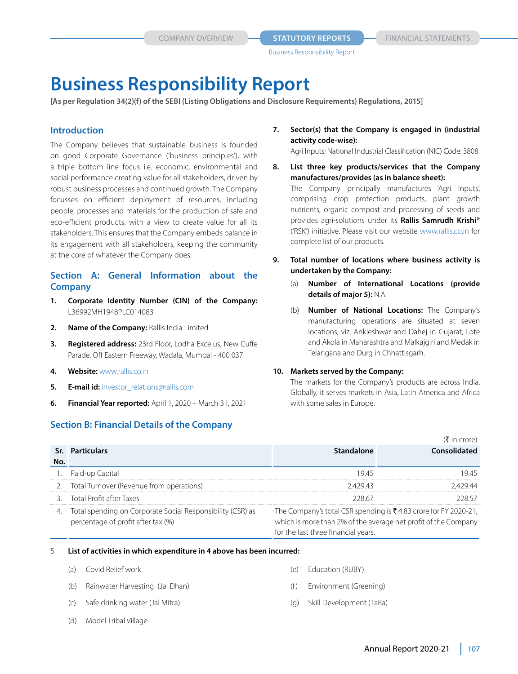**COMPANY OVERVIEW <b>STATUTORY REPORTS** FINANCIAL STATEMENTS

# **Business Responsibility Report**

**[As per Regulation 34(2)(f) of the SEBI (Listing Obligations and Disclosure Requirements) Regulations, 2015]**

# **Introduction**

The Company believes that sustainable business is founded on good Corporate Governance ('business principles'), with a triple bottom line focus i.e. economic, environmental and social performance creating value for all stakeholders, driven by robust business processes and continued growth. The Company focusses on efficient deployment of resources, including people, processes and materials for the production of safe and eco-efficient products, with a view to create value for all its stakeholders. This ensures that the Company embeds balance in its engagement with all stakeholders, keeping the community at the core of whatever the Company does.

# **Section A: General Information about the Company**

- **1. Corporate Identity Number (CIN) of the Company:**  L36992MH1948PLC014083
- **2. Name of the Company:** Rallis India Limited
- **3. Registered address:** 23rd Floor, Lodha Excelus, New Cuffe Parade, Off Eastern Freeway, Wadala, Mumbai - 400 037
- **4. Website:** www.rallis.co.in
- **5. E-mail id:** investor\_relations@rallis.com
- **6. Financial Year reported:** April 1, 2020 March 31, 2021

# **Section B: Financial Details of the Company**

**7. Sector(s) that the Company is engaged in (industrial activity code-wise):**

Agri Inputs; National Industrial Classification (NIC) Code: 3808

- **8. List three key products/services that the Company manufactures/provides (as in balance sheet):** The Company principally manufactures 'Agri Inputs', comprising crop protection products, plant growth nutrients, organic compost and processing of seeds and provides agri-solutions under its **Rallis Samrudh Krishi®** ('RSK') initiative. Please visit our website www.rallis.co.in for complete list of our products.
- **9. Total number of locations where business activity is undertaken by the Company:**
	- (a) **Number of International Locations (provide details of major 5):** N.A.
	- (b) **Number of National Locations:** The Company's manufacturing operations are situated at seven locations, viz. Ankleshwar and Dahej in Gujarat, Lote and Akola in Maharashtra and Malkajgiri and Medak in Telangana and Durg in Chhattisgarh.

#### **10. Markets served by the Company:**

The markets for the Company's products are across India. Globally, it serves markets in Asia, Latin America and Africa with some sales in Europe.

|     |                                                                                                  |                                                                                                                                                                          | $(3 \nvert \cdot \nvert)$ |
|-----|--------------------------------------------------------------------------------------------------|--------------------------------------------------------------------------------------------------------------------------------------------------------------------------|---------------------------|
|     | Sr. Particulars                                                                                  | Standalone                                                                                                                                                               | Consolidated              |
| No. |                                                                                                  |                                                                                                                                                                          |                           |
|     | . Paid-up Capital                                                                                | 1945                                                                                                                                                                     |                           |
|     | Total Turnover (Revenue from operations)                                                         | 242943                                                                                                                                                                   |                           |
|     | 3. Total Profit after Taxes                                                                      | 228.67                                                                                                                                                                   | 228.57                    |
|     | Total spending on Corporate Social Responsibility (CSR) as<br>percentage of profit after tax (%) | The Company's total CSR spending is ₹4.83 crore for FY 2020-21,<br>which is more than 2% of the average net profit of the Company<br>for the last three financial years. |                           |

#### 5. **List of activities in which expenditure in 4 above has been incurred:**

- (a) Covid Relief work
- (b) Rainwater Harvesting (Jal Dhan)
- (c) Safe drinking water (Jal Mitra)
- (d) Model Tribal Village
- (e) Education (RUBY)
- (f) Environment (Greening)
- (g) Skill Development (TaRa)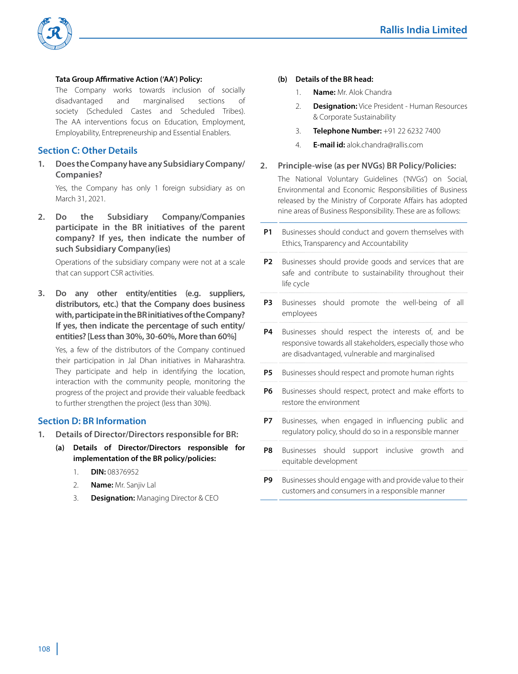

#### **Tata Group Affirmative Action ('AA') Policy:**

 The Company works towards inclusion of socially disadvantaged and marginalised sections of society (Scheduled Castes and Scheduled Tribes). The AA interventions focus on Education, Employment, Employability, Entrepreneurship and Essential Enablers.

# **Section C: Other Details**

**1. Does the Company have any Subsidiary Company/ Companies?**

Yes, the Company has only 1 foreign subsidiary as on March 31, 2021.

**2. Do the Subsidiary Company/Companies participate in the BR initiatives of the parent company? If yes, then indicate the number of such Subsidiary Company(ies)**

Operations of the subsidiary company were not at a scale that can support CSR activities.

**3. Do any other entity/entities (e.g. suppliers, distributors, etc.) that the Company does business with, participate in the BR initiatives of the Company? If yes, then indicate the percentage of such entity/ entities? [Less than 30%, 30-60%, More than 60%]**

Yes, a few of the distributors of the Company continued their participation in Jal Dhan initiatives in Maharashtra. They participate and help in identifying the location, interaction with the community people, monitoring the progress of the project and provide their valuable feedback to further strengthen the project (less than 30%).

# **Section D: BR Information**

- **1. Details of Director/Directors responsible for BR:**
	- **(a) Details of Director/Directors responsible for implementation of the BR policy/policies:**
		- 1. **DIN:** 08376952
		- 2. **Name:** Mr. Sanjiv Lal
		- 3. **Designation:** Managing Director & CEO

#### **(b) Details of the BR head:**

- 1. **Name:** Mr. Alok Chandra
- 2. **Designation:** Vice President Human Resources & Corporate Sustainability
- 3. **Telephone Number:** +91 22 6232 7400
- 4. **E-mail id:** alok.chandra@rallis.com

#### **2. Principle-wise (as per NVGs) BR Policy/Policies:**

 The National Voluntary Guidelines ('NVGs') on Social, Environmental and Economic Responsibilities of Business released by the Ministry of Corporate Affairs has adopted nine areas of Business Responsibility. These are as follows:

**P1** Businesses should conduct and govern themselves with Ethics, Transparency and Accountability **P2** Businesses should provide goods and services that are safe and contribute to sustainability throughout their life cycle **P3** Businesses should promote the well-being of all employees **P4** Businesses should respect the interests of, and be responsive towards all stakeholders, especially those who are disadvantaged, vulnerable and marginalised **P5** Businesses should respect and promote human rights **P6** Businesses should respect, protect and make efforts to restore the environment **P7** Businesses, when engaged in influencing public and regulatory policy, should do so in a responsible manner **P8** Businesses should support inclusive growth and equitable development **P9** Businesses should engage with and provide value to their customers and consumers in a responsible manner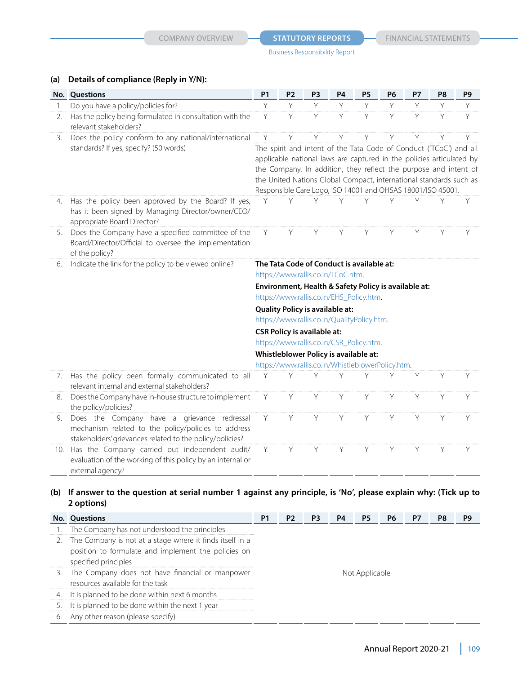# **(a) Details of compliance (Reply in Y/N):**

|     | No. Questions                                                                                                                                                  | <b>P1</b>                                                                                                                                                                                                                                                                                                                                           | P <sub>2</sub> | P <sub>3</sub> | <b>P4</b> | P <sub>5</sub> | <b>P6</b> | <b>P7</b> | P <sub>8</sub> | P <sub>9</sub> |  |
|-----|----------------------------------------------------------------------------------------------------------------------------------------------------------------|-----------------------------------------------------------------------------------------------------------------------------------------------------------------------------------------------------------------------------------------------------------------------------------------------------------------------------------------------------|----------------|----------------|-----------|----------------|-----------|-----------|----------------|----------------|--|
| 1.  | Do you have a policy/policies for?                                                                                                                             | Y                                                                                                                                                                                                                                                                                                                                                   | Y              | Y              | Y         | Y              | Y         | Y         | Y              | Y              |  |
| 2.  | Has the policy being formulated in consultation with the<br>relevant stakeholders?                                                                             | Y                                                                                                                                                                                                                                                                                                                                                   | Y              | Y              | Y         | Y              | Y         | Y         | Y              | Y              |  |
| 3.  | Does the policy conform to any national/international                                                                                                          | Y                                                                                                                                                                                                                                                                                                                                                   | Υ              | Y              | Υ         | Y              | Y         | Υ         | Y              | Υ              |  |
|     | standards? If yes, specify? (50 words)                                                                                                                         | The spirit and intent of the Tata Code of Conduct ('TCoC') and all<br>applicable national laws are captured in the policies articulated by<br>the Company. In addition, they reflect the purpose and intent of<br>the United Nations Global Compact, international standards such as<br>Responsible Care Logo, ISO 14001 and OHSAS 18001/ISO 45001. |                |                |           |                |           |           |                |                |  |
| 4.  | Has the policy been approved by the Board? If yes,<br>has it been signed by Managing Director/owner/CEO/<br>appropriate Board Director?                        | Y                                                                                                                                                                                                                                                                                                                                                   | V              | ٧              | Υ         | Υ              | Υ         | Υ         | Y              | Y              |  |
| 5.  | Does the Company have a specified committee of the<br>Board/Director/Official to oversee the implementation<br>of the policy?                                  | Y                                                                                                                                                                                                                                                                                                                                                   | Y              | Y              | Y         | Y              | Y         | Y         | Y              | Y              |  |
| 6.  | Indicate the link for the policy to be viewed online?                                                                                                          | The Tata Code of Conduct is available at:<br>https://www.rallis.co.in/TCoC.htm.                                                                                                                                                                                                                                                                     |                |                |           |                |           |           |                |                |  |
|     |                                                                                                                                                                |                                                                                                                                                                                                                                                                                                                                                     |                |                |           |                |           |           |                |                |  |
|     |                                                                                                                                                                | Environment, Health & Safety Policy is available at:<br>https://www.rallis.co.in/EHS_Policy.htm.<br><b>Quality Policy is available at:</b><br>https://www.rallis.co.in/QualityPolicy.htm.<br><b>CSR Policy is available at:</b>                                                                                                                     |                |                |           |                |           |           |                |                |  |
|     |                                                                                                                                                                |                                                                                                                                                                                                                                                                                                                                                     |                |                |           |                |           |           |                |                |  |
|     |                                                                                                                                                                |                                                                                                                                                                                                                                                                                                                                                     |                |                |           |                |           |           |                |                |  |
|     |                                                                                                                                                                |                                                                                                                                                                                                                                                                                                                                                     |                |                |           |                |           |           |                |                |  |
|     |                                                                                                                                                                | https://www.rallis.co.in/CSR_Policy.htm.<br>Whistleblower Policy is available at:<br>https://www.rallis.co.in/WhistleblowerPolicy.htm.                                                                                                                                                                                                              |                |                |           |                |           |           |                |                |  |
|     |                                                                                                                                                                |                                                                                                                                                                                                                                                                                                                                                     |                |                |           |                |           |           |                |                |  |
|     |                                                                                                                                                                |                                                                                                                                                                                                                                                                                                                                                     |                |                |           |                |           |           |                |                |  |
| 7.  | Has the policy been formally communicated to all<br>relevant internal and external stakeholders?                                                               | Υ                                                                                                                                                                                                                                                                                                                                                   | Υ              | Υ              | Υ         | Υ              | Υ         | Y         | Y              | Y              |  |
| 8.  | Does the Company have in-house structure to implement<br>the policy/policies?                                                                                  | Y                                                                                                                                                                                                                                                                                                                                                   | Y              | Y              | Y         | Y              | Y         | Y         | Y              | Y              |  |
| 9.  | Does the Company have a grievance redressal<br>mechanism related to the policy/policies to address<br>stakeholders' grievances related to the policy/policies? | Y                                                                                                                                                                                                                                                                                                                                                   | Y              | Y              | Y         | Y              | Y         | Y         | Y              | Y              |  |
| 10. | Has the Company carried out independent audit/<br>evaluation of the working of this policy by an internal or<br>external agency?                               | Y                                                                                                                                                                                                                                                                                                                                                   | Y              | Y              | Y         | Y              | Y         | Y         | Y              | Y              |  |

# **(b) If answer to the question at serial number 1 against any principle, is 'No', please explain why: (Tick up to 2 options)**

|    | <b>No.</b> Questions                                                                                                                       | Ρ1             | P2. | - P3 | P4 |  | P6 | P/ | Ρ8 |  |
|----|--------------------------------------------------------------------------------------------------------------------------------------------|----------------|-----|------|----|--|----|----|----|--|
|    | 1. The Company has not understood the principles                                                                                           |                |     |      |    |  |    |    |    |  |
|    | 2. The Company is not at a stage where it finds itself in a<br>position to formulate and implement the policies on<br>specified principles |                |     |      |    |  |    |    |    |  |
|    | 3. The Company does not have financial or manpower<br>resources available for the task                                                     | Not Applicable |     |      |    |  |    |    |    |  |
|    | 4. It is planned to be done within next 6 months                                                                                           |                |     |      |    |  |    |    |    |  |
| 5. | It is planned to be done within the next 1 year                                                                                            |                |     |      |    |  |    |    |    |  |
| 6. | Any other reason (please specify)                                                                                                          |                |     |      |    |  |    |    |    |  |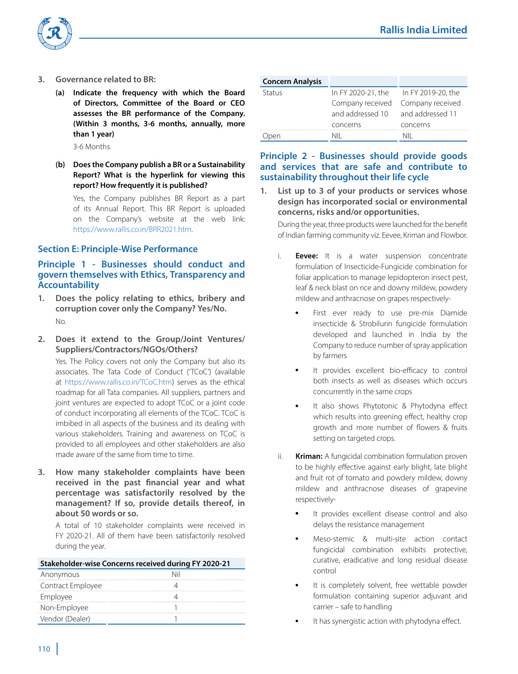



- **3. Governance related to BR:**
	- **(a) Indicate the frequency with which the Board of Directors, Committee of the Board or CEO assesses the BR performance of the Company. (Within 3 months, 3-6 months, annually, more than 1 year)**

3-6 Months.

## **(b) Does the Company publish a BR or a Sustainability Report? What is the hyperlink for viewing this report? How frequently it is published?**

 Yes, the Company publishes BR Report as a part of its Annual Report. This BR Report is uploaded on the Company's website at the web link: https://www.rallis.co.in/BRR2021.htm.

#### **Section E: Principle-Wise Performance**

# **Principle 1 - Businesses should conduct and govern themselves with Ethics, Transparency and Accountability**

- **1. Does the policy relating to ethics, bribery and corruption cover only the Company? Yes/No.**  No.
- **2. Does it extend to the Group/Joint Ventures/ Suppliers/Contractors/NGOs/Others?**

 Yes. The Policy covers not only the Company but also its associates. The Tata Code of Conduct ('TCoC') (available at https://www.rallis.co.in/TCoC.htm) serves as the ethical roadmap for all Tata companies. All suppliers, partners and joint ventures are expected to adopt TCoC or a joint code of conduct incorporating all elements of the TCoC. TCoC is imbibed in all aspects of the business and its dealing with various stakeholders. Training and awareness on TCoC is provided to all employees and other stakeholders are also made aware of the same from time to time.

**3. How many stakeholder complaints have been received in the past financial year and what percentage was satisfactorily resolved by the management? If so, provide details thereof, in about 50 words or so.** 

 A total of 10 stakeholder complaints were received in FY 2020-21. All of them have been satisfactorily resolved during the year.

| Stakeholder-wise Concerns received during FY 2020-21 |  |  |  |  |  |  |
|------------------------------------------------------|--|--|--|--|--|--|
| Anonymous                                            |  |  |  |  |  |  |
| Contract Employee                                    |  |  |  |  |  |  |
| Employee                                             |  |  |  |  |  |  |
| Non-Employee                                         |  |  |  |  |  |  |
| Vendor (Dealer)                                      |  |  |  |  |  |  |
|                                                      |  |  |  |  |  |  |

| <b>Concern Analysis</b> |                    |                    |
|-------------------------|--------------------|--------------------|
| Status                  | In FY 2020-21, the | In FY 2019-20, the |
|                         | Company received   | Company received   |
|                         | and addressed 10   | and addressed 11   |
|                         | concerns           | concerns           |
|                         |                    |                    |

# **Principle 2 - Businesses should provide goods and services that are safe and contribute to sustainability throughout their life cycle**

List up to 3 of your products or services whose **design has incorporated social or environmental concerns, risks and/or opportunities.**

 During the year, three products were launched for the benefit of Indian farming community viz. Eevee, Kriman and Flowbor.

- i. **Eevee:** It is a water suspension concentrate formulation of Insecticide-Fungicide combination for foliar application to manage lepidopteron insect pest, leaf & neck blast on rice and downy mildew, powdery mildew and anthracnose on grapes respectively-
	- First ever ready to use pre-mix Diamide insecticide & Strobilurin fungicide formulation developed and launched in India by the Company to reduce number of spray application by farmers
	- It provides excellent bio-efficacy to control both insects as well as diseases which occurs concurrently in the same crops
	- It also shows Phytotonic & Phytodyna effect which results into greening effect, healthy crop growth and more number of flowers & fruits setting on targeted crops.
- ii. **Kriman:** A fungicidal combination formulation proven to be highly effective against early blight, late blight and fruit rot of tomato and powdery mildew, downy mildew and anthracnose diseases of grapevine respectively-
	- It provides excellent disease control and also delays the resistance management
	- Meso-stemic & multi-site action contact fungicidal combination exhibits protective, curative, eradicative and long residual disease control
	- It is completely solvent, free wettable powder formulation containing superior adjuvant and carrier – safe to handling
	- It has synergistic action with phytodyna effect.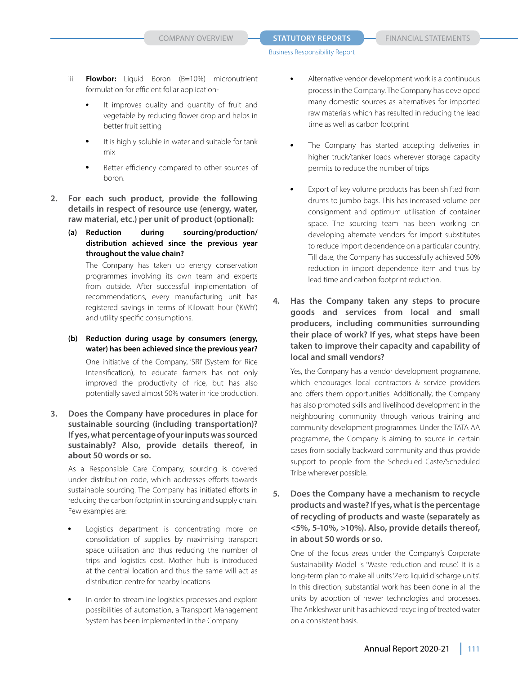- iii. **Flowbor:** Liquid Boron (B=10%) micronutrient formulation for efficient foliar application-
	- It improves quality and quantity of fruit and vegetable by reducing flower drop and helps in better fruit setting
	- It is highly soluble in water and suitable for tank mix
	- Better efficiency compared to other sources of boron.
- **2. For each such product, provide the following details in respect of resource use (energy, water, raw material, etc.) per unit of product (optional):** 
	- **(a) Reduction during sourcing/production/ distribution achieved since the previous year throughout the value chain?**

 The Company has taken up energy conservation programmes involving its own team and experts from outside. After successful implementation of recommendations, every manufacturing unit has registered savings in terms of Kilowatt hour ('KWh') and utility specific consumptions.

- **(b) Reduction during usage by consumers (energy, water) has been achieved since the previous year?** One initiative of the Company, 'SRI' (System for Rice Intensification), to educate farmers has not only improved the productivity of rice, but has also potentially saved almost 50% water in rice production.
- **3. Does the Company have procedures in place for sustainable sourcing (including transportation)? If yes, what percentage of your inputs was sourced sustainably? Also, provide details thereof, in about 50 words or so.**

 As a Responsible Care Company, sourcing is covered under distribution code, which addresses efforts towards sustainable sourcing. The Company has initiated efforts in reducing the carbon footprint in sourcing and supply chain. Few examples are:

- Logistics department is concentrating more on consolidation of supplies by maximising transport space utilisation and thus reducing the number of trips and logistics cost. Mother hub is introduced at the central location and thus the same will act as distribution centre for nearby locations
- In order to streamline logistics processes and explore possibilities of automation, a Transport Management System has been implemented in the Company
- Alternative vendor development work is a continuous process in the Company. The Company has developed many domestic sources as alternatives for imported raw materials which has resulted in reducing the lead time as well as carbon footprint
- The Company has started accepting deliveries in higher truck/tanker loads wherever storage capacity permits to reduce the number of trips
- Export of key volume products has been shifted from drums to jumbo bags. This has increased volume per consignment and optimum utilisation of container space. The sourcing team has been working on developing alternate vendors for import substitutes to reduce import dependence on a particular country. Till date, the Company has successfully achieved 50% reduction in import dependence item and thus by lead time and carbon footprint reduction.
- **4. Has the Company taken any steps to procure goods and services from local and small producers, including communities surrounding their place of work? If yes, what steps have been taken to improve their capacity and capability of local and small vendors?**

 Yes, the Company has a vendor development programme, which encourages local contractors & service providers and offers them opportunities. Additionally, the Company has also promoted skills and livelihood development in the neighbouring community through various training and community development programmes. Under the TATA AA programme, the Company is aiming to source in certain cases from socially backward community and thus provide support to people from the Scheduled Caste/Scheduled Tribe wherever possible.

**5. Does the Company have a mechanism to recycle products and waste? If yes, what is the percentage of recycling of products and waste (separately as <5%, 5-10%, >10%). Also, provide details thereof, in about 50 words or so.**

 One of the focus areas under the Company's Corporate Sustainability Model is 'Waste reduction and reuse'. It is a long-term plan to make all units 'Zero liquid discharge units'. In this direction, substantial work has been done in all the units by adoption of newer technologies and processes. The Ankleshwar unit has achieved recycling of treated water on a consistent basis.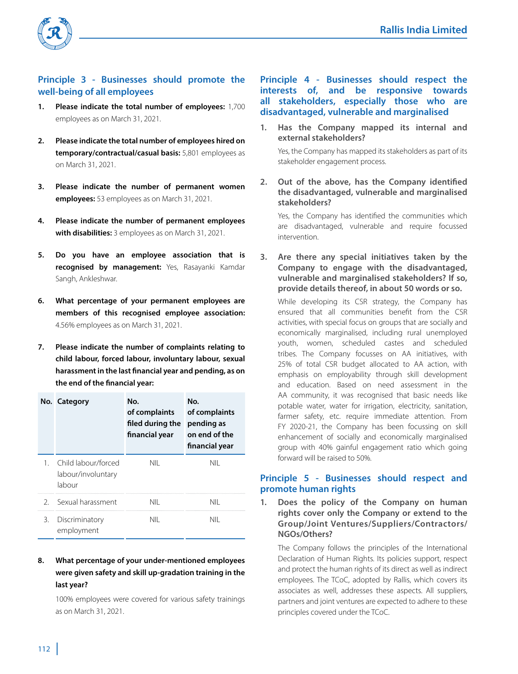

# **Principle 3 - Businesses should promote the well-being of all employees**

- **1. Please indicate the total number of employees:** 1,700 employees as on March 31, 2021.
- **2. Please indicate the total number of employees hired on temporary/contractual/casual basis:** 5,801 employees as on March 31, 2021.
- **3. Please indicate the number of permanent women employees:** 53 employees as on March 31, 2021.
- **4. Please indicate the number of permanent employees with disabilities:** 3 employees as on March 31, 2021.
- **5. Do you have an employee association that is recognised by management:** Yes, Rasayanki Kamdar Sangh, Ankleshwar.
- **6. What percentage of your permanent employees are members of this recognised employee association:** 4.56% employees as on March 31, 2021.
- **7. Please indicate the number of complaints relating to child labour, forced labour, involuntary labour, sexual harassment in the last financial year and pending, as on the end of the financial year:**

|    | No. Category                                        | No.<br>of complaints<br>filed during the<br>financial year | No.<br>of complaints<br>pending as<br>on end of the<br>financial year |
|----|-----------------------------------------------------|------------------------------------------------------------|-----------------------------------------------------------------------|
|    | Child labour/forced<br>labour/involuntary<br>labour | NIL                                                        | NII                                                                   |
|    | 2 Sexual harassment                                 | NII                                                        | nii                                                                   |
| 3. | Discriminatory<br>employment                        | NII                                                        | NII                                                                   |

# **8. What percentage of your under-mentioned employees were given safety and skill up-gradation training in the last year?**

 100% employees were covered for various safety trainings as on March 31, 2021.

# **Principle 4 - Businesses should respect the interests of, and be responsive towards all stakeholders, especially those who are disadvantaged, vulnerable and marginalised**

**1. Has the Company mapped its internal and external stakeholders?**

 Yes, the Company has mapped its stakeholders as part of its stakeholder engagement process.

**2. Out of the above, has the Company identified the disadvantaged, vulnerable and marginalised stakeholders?** 

 Yes, the Company has identified the communities which are disadvantaged, vulnerable and require focussed intervention.

**3. Are there any special initiatives taken by the Company to engage with the disadvantaged, vulnerable and marginalised stakeholders? If so, provide details thereof, in about 50 words or so.**

 While developing its CSR strategy, the Company has ensured that all communities benefit from the CSR activities, with special focus on groups that are socially and economically marginalised, including rural unemployed youth, women, scheduled castes and scheduled tribes. The Company focusses on AA initiatives, with 25% of total CSR budget allocated to AA action, with emphasis on employability through skill development and education. Based on need assessment in the AA community, it was recognised that basic needs like potable water, water for irrigation, electricity, sanitation, farmer safety, etc. require immediate attention. From FY 2020-21, the Company has been focussing on skill enhancement of socially and economically marginalised group with 40% gainful engagement ratio which going forward will be raised to 50%.

# **Principle 5 - Businesses should respect and promote human rights**

**1. Does the policy of the Company on human rights cover only the Company or extend to the Group/Joint Ventures/Suppliers/Contractors/ NGOs/Others?**

 The Company follows the principles of the International Declaration of Human Rights. Its policies support, respect and protect the human rights of its direct as well as indirect employees. The TCoC, adopted by Rallis, which covers its associates as well, addresses these aspects. All suppliers, partners and joint ventures are expected to adhere to these principles covered under the TCoC.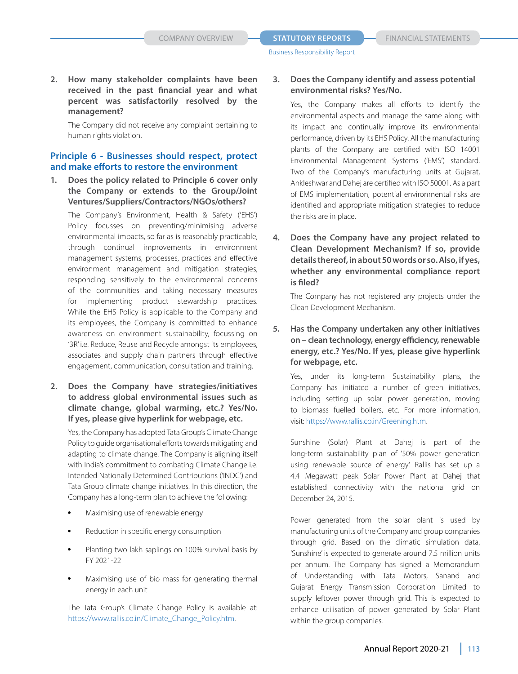**2. How many stakeholder complaints have been received in the past financial year and what percent was satisfactorily resolved by the management?**

 The Company did not receive any complaint pertaining to human rights violation.

#### **Principle 6 - Businesses should respect, protect and make efforts to restore the environment**

**1. Does the policy related to Principle 6 cover only the Company or extends to the Group/Joint Ventures/Suppliers/Contractors/NGOs/others?** 

The Company's Environment, Health & Safety ('EHS') Policy focusses on preventing/minimising adverse environmental impacts, so far as is reasonably practicable, through continual improvements in environment management systems, processes, practices and effective environment management and mitigation strategies, responding sensitively to the environmental concerns of the communities and taking necessary measures for implementing product stewardship practices. While the EHS Policy is applicable to the Company and its employees, the Company is committed to enhance awareness on environment sustainability, focussing on '3R' i.e. Reduce, Reuse and Recycle amongst its employees, associates and supply chain partners through effective engagement, communication, consultation and training.

**2. Does the Company have strategies/initiatives to address global environmental issues such as climate change, global warming, etc.? Yes/No. If yes, please give hyperlink for webpage, etc.** 

 Yes, the Company has adopted Tata Group's Climate Change Policy to guide organisational efforts towards mitigating and adapting to climate change. The Company is aligning itself with India's commitment to combating Climate Change i.e. Intended Nationally Determined Contributions ('INDC') and Tata Group climate change initiatives. In this direction, the Company has a long-term plan to achieve the following:

- Maximising use of renewable energy
- Reduction in specific energy consumption
- Planting two lakh saplings on 100% survival basis by FY 2021-22
- Maximising use of bio mass for generating thermal energy in each unit

 The Tata Group's Climate Change Policy is available at: https://www.rallis.co.in/Climate\_Change\_Policy.htm.

# **3. Does the Company identify and assess potential environmental risks? Yes/No.**

Yes, the Company makes all efforts to identify the environmental aspects and manage the same along with its impact and continually improve its environmental performance, driven by its EHS Policy. All the manufacturing plants of the Company are certified with ISO 14001 Environmental Management Systems ('EMS') standard. Two of the Company's manufacturing units at Gujarat, Ankleshwar and Dahej are certified with ISO 50001. As a part of EMS implementation, potential environmental risks are identified and appropriate mitigation strategies to reduce the risks are in place.

**4. Does the Company have any project related to Clean Development Mechanism? If so, provide details thereof, in about 50 words or so. Also, if yes, whether any environmental compliance report is filed?** 

 The Company has not registered any projects under the Clean Development Mechanism.

**5. Has the Company undertaken any other initiatives on – clean technology, energy efficiency, renewable energy, etc.? Yes/No. If yes, please give hyperlink for webpage, etc.** 

 Yes, under its long-term Sustainability plans, the Company has initiated a number of green initiatives, including setting up solar power generation, moving to biomass fuelled boilers, etc. For more information, visit: https://www.rallis.co.in/Greening.htm.

 Sunshine (Solar) Plant at Dahej is part of the long-term sustainability plan of '50% power generation using renewable source of energy'. Rallis has set up a 4.4 Megawatt peak Solar Power Plant at Dahej that established connectivity with the national grid on December 24, 2015.

 Power generated from the solar plant is used by manufacturing units of the Company and group companies through grid. Based on the climatic simulation data, 'Sunshine' is expected to generate around 7.5 million units per annum. The Company has signed a Memorandum of Understanding with Tata Motors, Sanand and Gujarat Energy Transmission Corporation Limited to supply leftover power through grid. This is expected to enhance utilisation of power generated by Solar Plant within the group companies.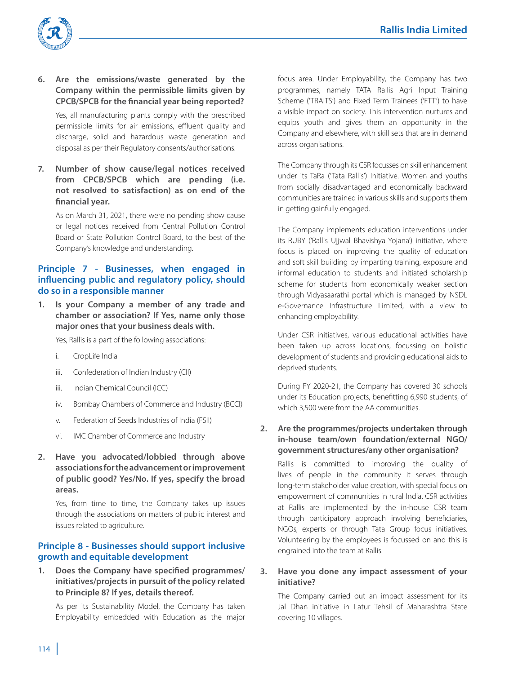

- **6. Are the emissions/waste generated by the Company within the permissible limits given by CPCB/SPCB for the financial year being reported?** Yes, all manufacturing plants comply with the prescribed permissible limits for air emissions, effluent quality and discharge, solid and hazardous waste generation and disposal as per their Regulatory consents/authorisations.
- **7. Number of show cause/legal notices received from CPCB/SPCB which are pending (i.e. not resolved to satisfaction) as on end of the financial year.**

 As on March 31, 2021, there were no pending show cause or legal notices received from Central Pollution Control Board or State Pollution Control Board, to the best of the Company's knowledge and understanding.

# **Principle 7 - Businesses, when engaged in influencing public and regulatory policy, should do so in a responsible manner**

**1. Is your Company a member of any trade and chamber or association? If Yes, name only those major ones that your business deals with.**

Yes, Rallis is a part of the following associations:

- i. CropLife India
- iii. Confederation of Indian Industry (CII)
- iii. Indian Chemical Council (ICC)
- iv. Bombay Chambers of Commerce and Industry (BCCI)
- v. Federation of Seeds Industries of India (FSII)
- vi. IMC Chamber of Commerce and Industry
- **2. Have you advocated/lobbied through above associations for the advancement or improvement of public good? Yes/No. If yes, specify the broad areas.**

 Yes, from time to time, the Company takes up issues through the associations on matters of public interest and issues related to agriculture.

# **Principle 8 - Businesses should support inclusive growth and equitable development**

**1. Does the Company have specified programmes/ initiatives/projects in pursuit of the policy related to Principle 8? If yes, details thereof.** 

 As per its Sustainability Model, the Company has taken Employability embedded with Education as the major

focus area. Under Employability, the Company has two programmes, namely TATA Rallis Agri Input Training Scheme ('TRAITS') and Fixed Term Trainees ('FTT') to have a visible impact on society. This intervention nurtures and equips youth and gives them an opportunity in the Company and elsewhere, with skill sets that are in demand across organisations.

 The Company through its CSR focusses on skill enhancement under its TaRa ('Tata Rallis') Initiative. Women and youths from socially disadvantaged and economically backward communities are trained in various skills and supports them in getting gainfully engaged.

 The Company implements education interventions under its RUBY ('Rallis Ujjwal Bhavishya Yojana') initiative, where focus is placed on improving the quality of education and soft skill building by imparting training, exposure and informal education to students and initiated scholarship scheme for students from economically weaker section through Vidyasaarathi portal which is managed by NSDL e-Governance Infrastructure Limited, with a view to enhancing employability.

 Under CSR initiatives, various educational activities have been taken up across locations, focussing on holistic development of students and providing educational aids to deprived students.

 During FY 2020-21, the Company has covered 30 schools under its Education projects, benefitting 6,990 students, of which 3,500 were from the AA communities.

## **2. Are the programmes/projects undertaken through in-house team/own foundation/external NGO/ government structures/any other organisation?**

 Rallis is committed to improving the quality of lives of people in the community it serves through long-term stakeholder value creation, with special focus on empowerment of communities in rural India. CSR activities at Rallis are implemented by the in-house CSR team through participatory approach involving beneficiaries, NGOs, experts or through Tata Group focus initiatives. Volunteering by the employees is focussed on and this is engrained into the team at Rallis.

#### **3. Have you done any impact assessment of your initiative?**

 The Company carried out an impact assessment for its Jal Dhan initiative in Latur Tehsil of Maharashtra State covering 10 villages.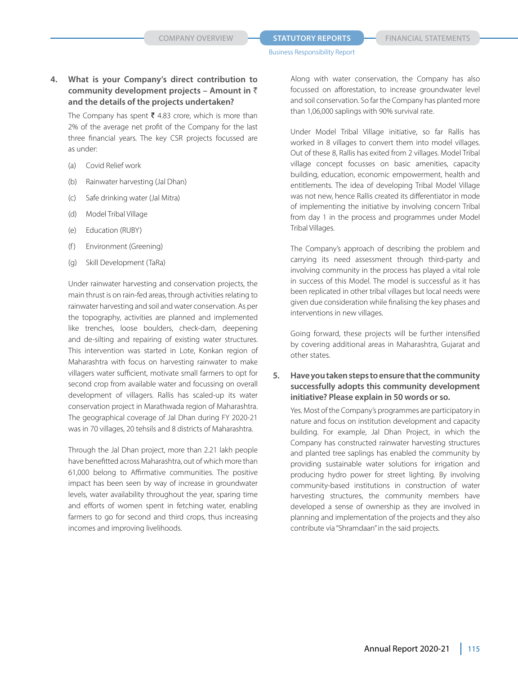# **4. What is your Company's direct contribution to community development projects – Amount in** ` **and the details of the projects undertaken?**

The Company has spent  $\bar{\tau}$  4.83 crore, which is more than 2% of the average net profit of the Company for the last three financial years. The key CSR projects focussed are as under:

- (a) Covid Relief work
- (b) Rainwater harvesting (Jal Dhan)
- (c) Safe drinking water (Jal Mitra)
- (d) Model Tribal Village
- (e) Education (RUBY)
- (f) Environment (Greening)
- (g) Skill Development (TaRa)

 Under rainwater harvesting and conservation projects, the main thrust is on rain-fed areas, through activities relating to rainwater harvesting and soil and water conservation. As per the topography, activities are planned and implemented like trenches, loose boulders, check-dam, deepening and de-silting and repairing of existing water structures. This intervention was started in Lote, Konkan region of Maharashtra with focus on harvesting rainwater to make villagers water sufficient, motivate small farmers to opt for second crop from available water and focussing on overall development of villagers. Rallis has scaled-up its water conservation project in Marathwada region of Maharashtra. The geographical coverage of Jal Dhan during FY 2020-21 was in 70 villages, 20 tehsils and 8 districts of Maharashtra.

 Through the Jal Dhan project, more than 2.21 lakh people have benefitted across Maharashtra, out of which more than 61,000 belong to Affirmative communities. The positive impact has been seen by way of increase in groundwater levels, water availability throughout the year, sparing time and efforts of women spent in fetching water, enabling farmers to go for second and third crops, thus increasing incomes and improving livelihoods.

 Along with water conservation, the Company has also focussed on afforestation, to increase groundwater level and soil conservation. So far the Company has planted more than 1,06,000 saplings with 90% survival rate.

 Under Model Tribal Village initiative, so far Rallis has worked in 8 villages to convert them into model villages. Out of these 8, Rallis has exited from 2 villages. Model Tribal village concept focusses on basic amenities, capacity building, education, economic empowerment, health and entitlements. The idea of developing Tribal Model Village was not new, hence Rallis created its differentiator in mode of implementing the initiative by involving concern Tribal from day 1 in the process and programmes under Model Tribal Villages.

 The Company's approach of describing the problem and carrying its need assessment through third-party and involving community in the process has played a vital role in success of this Model. The model is successful as it has been replicated in other tribal villages but local needs were given due consideration while finalising the key phases and interventions in new villages.

 Going forward, these projects will be further intensified by covering additional areas in Maharashtra, Gujarat and other states.

#### **5. Have you taken steps to ensure that the community successfully adopts this community development initiative? Please explain in 50 words or so.**

 Yes. Most of the Company's programmes are participatory in nature and focus on institution development and capacity building. For example, Jal Dhan Project, in which the Company has constructed rainwater harvesting structures and planted tree saplings has enabled the community by providing sustainable water solutions for irrigation and producing hydro power for street lighting. By involving community-based institutions in construction of water harvesting structures, the community members have developed a sense of ownership as they are involved in planning and implementation of the projects and they also contribute via "Shramdaan" in the said projects.